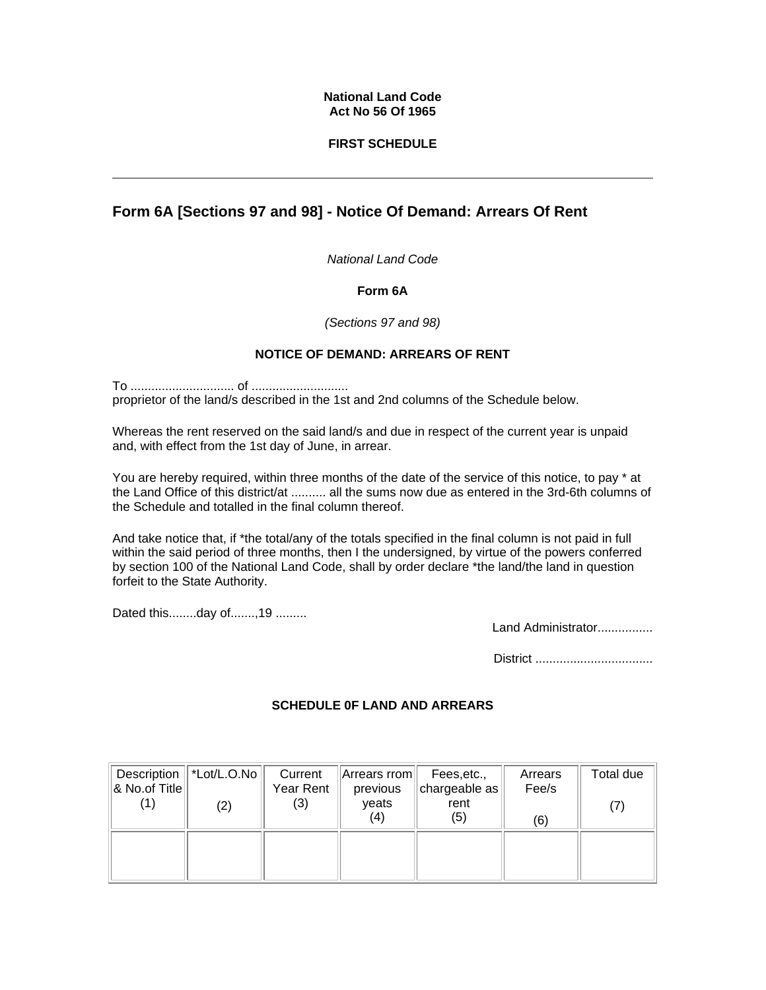#### **National Land Code Act No 56 Of 1965**

## **FIRST SCHEDULE**

# **Form 6A [Sections 97 and 98] - Notice Of Demand: Arrears Of Rent**

*National Land Code* 

## **Form 6A**

*(Sections 97 and 98)*

# **NOTICE OF DEMAND: ARREARS OF RENT**

To .............................. of ............................ proprietor of the land/s described in the 1st and 2nd columns of the Schedule below.

Whereas the rent reserved on the said land/s and due in respect of the current year is unpaid and, with effect from the 1st day of June, in arrear.

You are hereby required, within three months of the date of the service of this notice, to pay \* at the Land Office of this district/at .......... all the sums now due as entered in the 3rd-6th columns of the Schedule and totalled in the final column thereof.

And take notice that, if \*the total/any of the totals specified in the final column is not paid in full within the said period of three months, then I the undersigned, by virtue of the powers conferred by section 100 of the National Land Code, shall by order declare \*the land/the land in question forfeit to the State Authority.

Dated this........day of.......,19 .........

Land Administrator................

District ..................................

## **SCHEDULE 0F LAND AND ARREARS**

| Description<br>& No.of Title | $ \n*Lot/L.O.No $<br>(2) | Current<br>Year Rent<br>(3) | Arrears rrom<br>previous<br>veats<br>(4) | Fees, etc.,<br>chargeable as <sup>1</sup><br>rent<br>(5) | Arrears<br>Fee/s<br>(6) | Total due |
|------------------------------|--------------------------|-----------------------------|------------------------------------------|----------------------------------------------------------|-------------------------|-----------|
|                              |                          |                             |                                          |                                                          |                         |           |